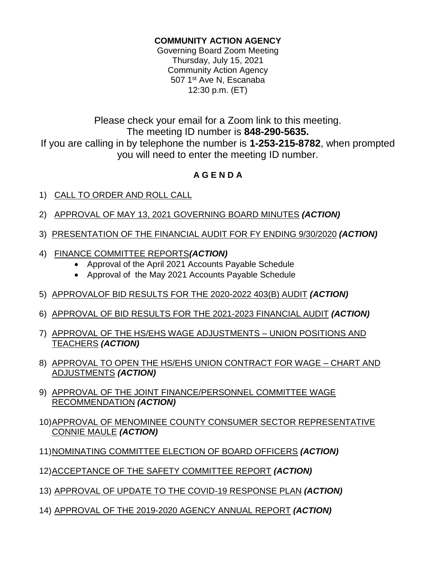## **COMMUNITY ACTION AGENCY**

Governing Board Zoom Meeting Thursday, July 15, 2021 Community Action Agency 507 1st Ave N, Escanaba 12:30 p.m. (ET)

Please check your email for a Zoom link to this meeting. The meeting ID number is **848-290-5635.** If you are calling in by telephone the number is **1-253-215-8782**, when prompted you will need to enter the meeting ID number.

## **A G E N D A**

- 1) CALL TO ORDER AND ROLL CALL
- 2) APPROVAL OF MAY 13, 2021 GOVERNING BOARD MINUTES *(ACTION)*
- 3) PRESENTATION OF THE FINANCIAL AUDIT FOR FY ENDING 9/30/2020 *(ACTION)*
- 4) FINANCE COMMITTEE REPORTS*(ACTION)*
	- Approval of the April 2021 Accounts Payable Schedule
	- Approval of the May 2021 Accounts Payable Schedule
- 5) APPROVALOF BID RESULTS FOR THE 2020-2022 403(B) AUDIT *(ACTION)*
- 6) APPROVAL OF BID RESULTS FOR THE 2021-2023 FINANCIAL AUDIT *(ACTION)*
- 7) APPROVAL OF THE HS/EHS WAGE ADJUSTMENTS UNION POSITIONS AND TEACHERS *(ACTION)*
- 8) APPROVAL TO OPEN THE HS/EHS UNION CONTRACT FOR WAGE CHART AND ADJUSTMENTS *(ACTION)*
- 9) APPROVAL OF THE JOINT FINANCE/PERSONNEL COMMITTEE WAGE RECOMMENDATION *(ACTION)*
- 10)APPROVAL OF MENOMINEE COUNTY CONSUMER SECTOR REPRESENTATIVE CONNIE MAULE *(ACTION)*
- 11)NOMINATING COMMITTEE ELECTION OF BOARD OFFICERS *(ACTION)*
- 12)ACCEPTANCE OF THE SAFETY COMMITTEE REPORT *(ACTION)*
- 13) APPROVAL OF UPDATE TO THE COVID-19 RESPONSE PLAN *(ACTION)*
- 14) APPROVAL OF THE 2019-2020 AGENCY ANNUAL REPORT *(ACTION)*